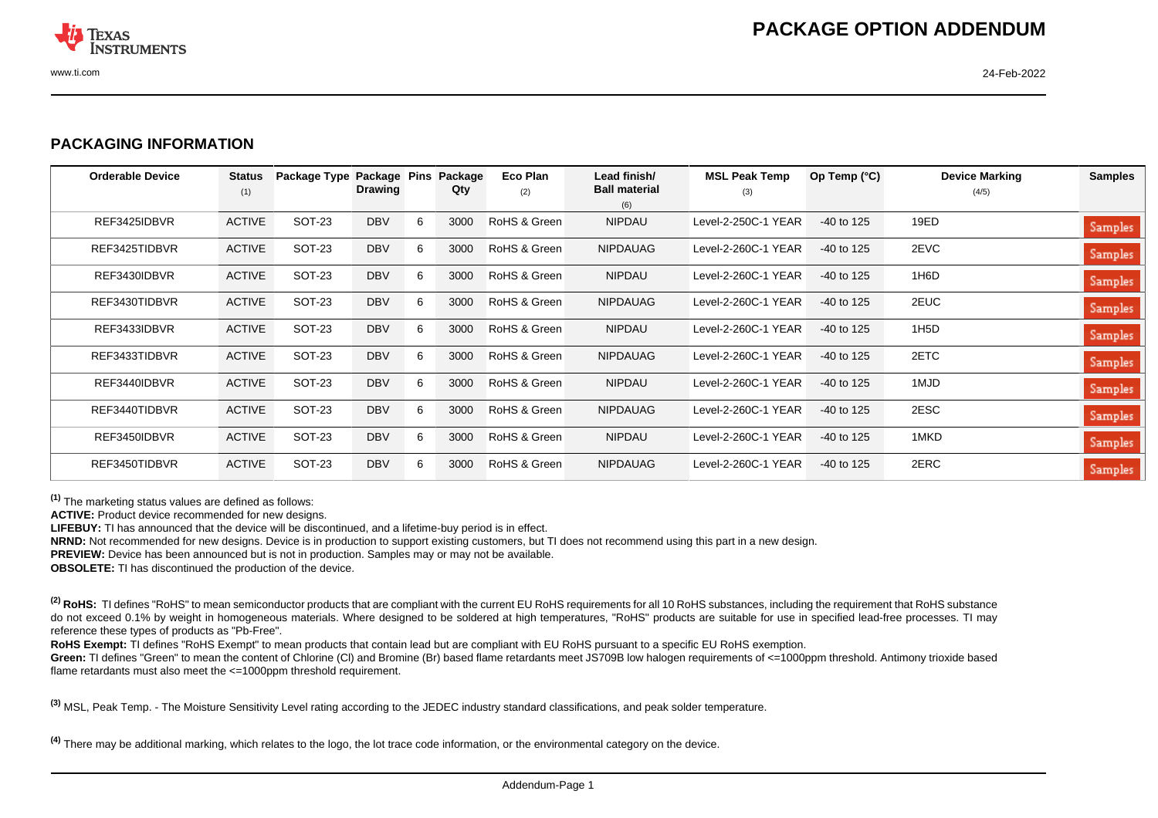

## **PACKAGING INFORMATION**

| <b>Orderable Device</b> | <b>Status</b><br>(1) | Package Type  | Package Pins<br><b>Drawing</b> |   | Package<br>Qty | Eco Plan<br>(2) | Lead finish/<br><b>Ball material</b> | <b>MSL Peak Temp</b><br>(3) | Op Temp $(^{\circ}C)$ | <b>Device Marking</b><br>(4/5) | <b>Samples</b> |
|-------------------------|----------------------|---------------|--------------------------------|---|----------------|-----------------|--------------------------------------|-----------------------------|-----------------------|--------------------------------|----------------|
|                         |                      |               |                                |   |                |                 | (6)                                  |                             |                       |                                |                |
| REF3425IDBVR            | <b>ACTIVE</b>        | SOT-23        | <b>DBV</b>                     | 6 | 3000           | RoHS & Green    | <b>NIPDAU</b>                        | Level-2-250C-1 YEAR         | $-40$ to 125          | 19ED                           | Samples        |
| REF3425TIDBVR           | <b>ACTIVE</b>        | SOT-23        | <b>DBV</b>                     | 6 | 3000           | RoHS & Green    | <b>NIPDAUAG</b>                      | Level-2-260C-1 YEAR         | $-40$ to 125          | 2EVC                           | Samples        |
| REF3430IDBVR            | <b>ACTIVE</b>        | SOT-23        | <b>DBV</b>                     | 6 | 3000           | RoHS & Green    | NIPDAU                               | Level-2-260C-1 YEAR         | $-40$ to 125          | 1H6D                           | Samples        |
| REF3430TIDBVR           | <b>ACTIVE</b>        | SOT-23        | <b>DBV</b>                     | 6 | 3000           | RoHS & Green    | <b>NIPDAUAG</b>                      | Level-2-260C-1 YEAR         | $-40$ to 125          | 2EUC                           | Samples        |
| REF3433IDBVR            | <b>ACTIVE</b>        | SOT-23        | <b>DBV</b>                     | 6 | 3000           | RoHS & Green    | <b>NIPDAU</b>                        | Level-2-260C-1 YEAR         | $-40$ to 125          | 1H <sub>5</sub> D              | Samples        |
| REF3433TIDBVR           | <b>ACTIVE</b>        | <b>SOT-23</b> | <b>DBV</b>                     | 6 | 3000           | RoHS & Green    | <b>NIPDAUAG</b>                      | Level-2-260C-1 YEAR         | $-40$ to 125          | 2ETC                           | Samples        |
| REF3440IDBVR            | <b>ACTIVE</b>        | SOT-23        | <b>DBV</b>                     | 6 | 3000           | RoHS & Green    | NIPDAU                               | Level-2-260C-1 YEAR         | $-40$ to 125          | 1MJD                           | <b>Samples</b> |
| REF3440TIDBVR           | <b>ACTIVE</b>        | SOT-23        | <b>DBV</b>                     | 6 | 3000           | RoHS & Green    | <b>NIPDAUAG</b>                      | Level-2-260C-1 YEAR         | $-40$ to 125          | 2ESC                           | Samples        |
| REF3450IDBVR            | <b>ACTIVE</b>        | <b>SOT-23</b> | <b>DBV</b>                     | 6 | 3000           | RoHS & Green    | <b>NIPDAU</b>                        | Level-2-260C-1 YEAR         | $-40$ to 125          | 1MKD                           | Samples        |
| REF3450TIDBVR           | <b>ACTIVE</b>        | SOT-23        | <b>DBV</b>                     | 6 | 3000           | RoHS & Green    | <b>NIPDAUAG</b>                      | Level-2-260C-1 YEAR         | $-40$ to 125          | 2ERC                           | Samples        |

**(1)** The marketing status values are defined as follows:

**ACTIVE:** Product device recommended for new designs.

**LIFEBUY:** TI has announced that the device will be discontinued, and a lifetime-buy period is in effect.

**NRND:** Not recommended for new designs. Device is in production to support existing customers, but TI does not recommend using this part in a new design.

**PREVIEW:** Device has been announced but is not in production. Samples may or may not be available.

**OBSOLETE:** TI has discontinued the production of the device.

<sup>(2)</sup> RoHS: TI defines "RoHS" to mean semiconductor products that are compliant with the current EU RoHS requirements for all 10 RoHS substances, including the requirement that RoHS substance do not exceed 0.1% by weight in homogeneous materials. Where designed to be soldered at high temperatures, "RoHS" products are suitable for use in specified lead-free processes. TI may reference these types of products as "Pb-Free".

RoHS Exempt: TI defines "RoHS Exempt" to mean products that contain lead but are compliant with EU RoHS pursuant to a specific EU RoHS exemption.

Green: TI defines "Green" to mean the content of Chlorine (CI) and Bromine (Br) based flame retardants meet JS709B low halogen requirements of <=1000ppm threshold. Antimony trioxide based flame retardants must also meet the <=1000ppm threshold requirement.

**(3)** MSL, Peak Temp. - The Moisture Sensitivity Level rating according to the JEDEC industry standard classifications, and peak solder temperature.

**(4)** There may be additional marking, which relates to the logo, the lot trace code information, or the environmental category on the device.